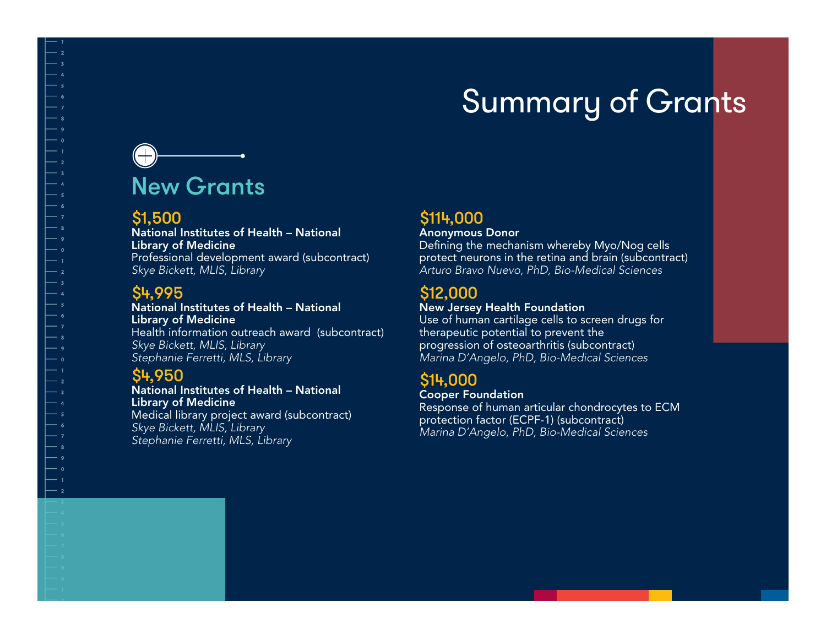## Summary of Grants

# New Grants

#### \$1,500

National Institutes of Health – National Library of Medicine Professional development award (subcontract) *Skye Bickett, MLIS, Library*

#### \$4,995

National Institutes of Health – National Library of Medicine Health information outreach award (subcontract) *Skye Bickett, MLIS, Library Stephanie Ferretti, MLS, Library*

### \$4,950

National Institutes of Health – National Library of Medicine Medical library project award (subcontract) *Skye Bickett, MLIS, Library Stephanie Ferretti, MLS, Library*

## \$114,000

Anonymous Donor

Defining the mechanism whereby Myo/Nog cells protect neurons in the retina and brain (subcontract) *Arturo Bravo Nuevo, PhD, Bio-Medical Sciences*

#### \$12,000

#### New Jersey Health Foundation

Use of human cartilage cells to screen drugs for therapeutic potential to prevent the progression of osteoarthritis (subcontract) *Marina D'Angelo, PhD, Bio-Medical Sciences*

### \$14,000

Cooper Foundation Response of human articular chondrocytes to ECM protection factor (ECPF-1) (subcontract) *Marina D'Angelo, PhD, Bio-Medical Sciences*